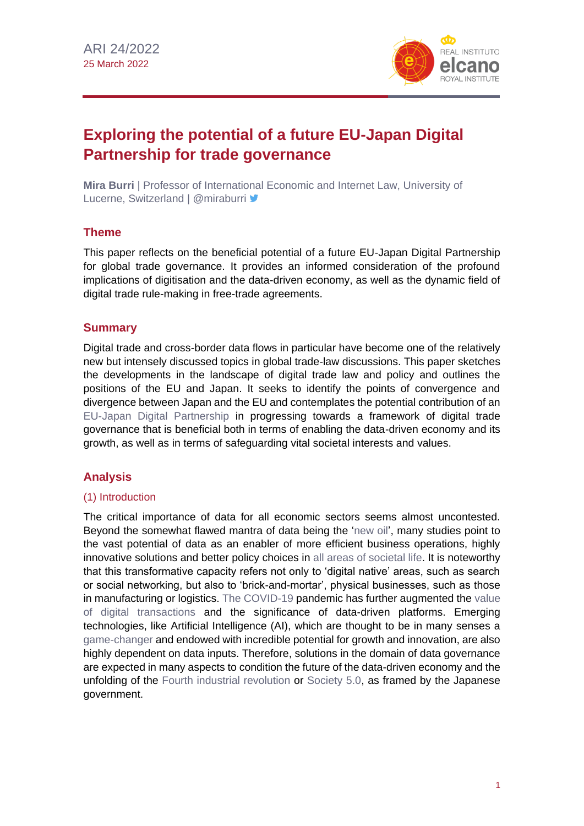

# **Exploring the potential of a future EU-Japan Digital Partnership for trade governance**

**Mira Burri** | Professor of International Economic and Internet Law, University of Lucerne, Switzerland | @miraburri ♥

## **Theme**

This paper reflects on the beneficial potential of a future EU-Japan Digital Partnership for global trade governance. It provides an informed consideration of the profound implications of digitisation and the data-driven economy, as well as the dynamic field of digital trade rule-making in free-trade agreements.

## **Summary**

Digital trade and cross-border data flows in particular have become one of the relatively new but intensely discussed topics in global trade-law discussions. This paper sketches the developments in the landscape of digital trade law and policy and outlines the positions of the EU and Japan. It seeks to identify the points of convergence and divergence between Japan and the EU and contemplates the potential contribution of an [EU-Japan Digital Partnership](https://www.realinstitutoelcano.org/en/analyses/the-case-for-eu-japan-digital-connectivity-and-digital-oda/) in progressing towards a framework of digital trade governance that is beneficial both in terms of enabling the data-driven economy and its growth, as well as in terms of safeguarding vital societal interests and values.

# **Analysis**

#### (1) Introduction

The critical importance of data for all economic sectors seems almost uncontested. Beyond the somewhat flawed mantra of data being the ['new oil'](https://www.economist.com/leaders/2017/05/06/the-worlds-most-valuable-resource-is-no-longer-oil-but-data), many studies point to the vast potential of data as an enabler of more efficient business operations, highly innovative solutions and better policy choices in [all areas of societal life.](https://www.mckinsey.com/business-functions/mckinsey-digital/our-insights/big-data-the-next-frontier-for-innovation) It is noteworthy that this transformative capacity refers not only to 'digital native' areas, such as search or social networking, but also to 'brick-and-mortar', physical businesses, such as those in manufacturing or logistics. [The COVID-19](https://especiales.realinstitutoelcano.org/coronavirus/?lang=en) pandemic has further augmented the [value](https://www.wto.org/english/tratop_e/covid19_e/ecommerce_report_e.pdf) [of digital transactions](https://www.wto.org/english/tratop_e/covid19_e/ecommerce_report_e.pdf) and the significance of data-driven platforms. Emerging technologies, like Artificial Intelligence (AI), which are thought to be in many senses a [game-changer](https://www.mckinsey.com/featured-insights/artificial-intelligence/notes-from-the-ai-frontier-modeling-the-impact-of-ai-on-the-world-economy) and endowed with incredible potential for growth and innovation, are also highly dependent on data inputs. Therefore, solutions in the domain of data governance are expected in many aspects to condition the future of the data-driven economy and the unfolding of the [Fourth industrial revolution](https://www.weforum.org/about/the-fourth-industrial-revolution-by-klaus-schwab) or [Society 5.0,](https://www.japan.go.jp/abenomics/_userdata/abenomics/pdf/society_5.0.pdf) as framed by the Japanese government.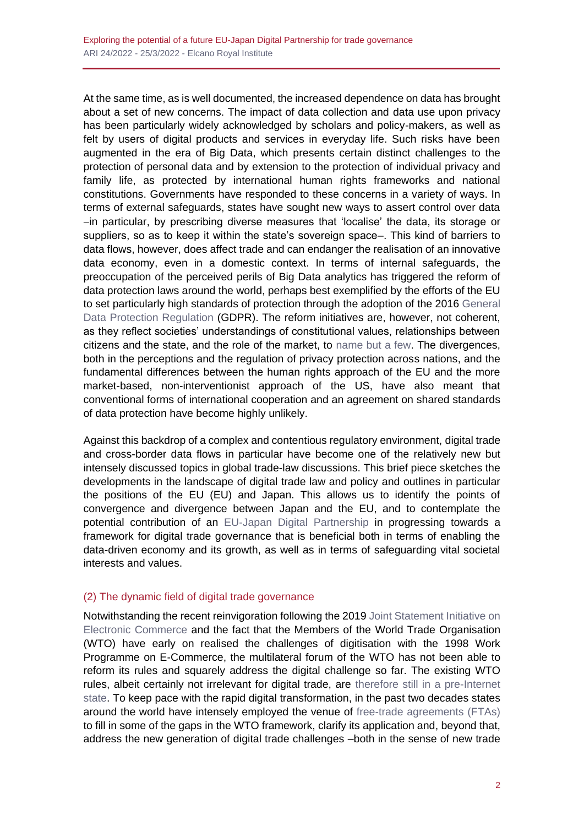At the same time, as is well documented, the increased dependence on data has brought about a set of new concerns. The impact of data collection and data use upon privacy has been particularly widely acknowledged by scholars and policy-makers, as well as felt by users of digital products and services in everyday life. Such risks have been augmented in the era of Big Data, which presents certain distinct challenges to the protection of personal data and by extension to the protection of individual privacy and family life, as protected by international human rights frameworks and national constitutions. Governments have responded to these concerns in a variety of ways. In terms of external safeguards, states have sought new ways to assert control over data −in particular, by prescribing diverse measures that 'localise' the data, its storage or suppliers, so as to keep it within the state's sovereign space–. This kind of barriers to data flows, however, does affect trade and can endanger the realisation of an innovative data economy, even in a domestic context. In terms of internal safeguards, the preoccupation of the perceived perils of Big Data analytics has triggered the reform of data protection laws around the world, perhaps best exemplified by the efforts of the EU to set particularly high standards of protection through the adoption of the 2016 [General](https://eur-lex.europa.eu/eli/reg/2016/679/oj)  [Data Protection Regulation](https://eur-lex.europa.eu/eli/reg/2016/679/oj) (GDPR). The reform initiatives are, however, not coherent, as they reflect societies' understandings of constitutional values, relationships between citizens and the state, and the role of the market, to [name but a few.](https://scholarlycommons.law.case.edu/cgi/viewcontent.cgi?article=2596&context=jil) The divergences, both in the perceptions and the regulation of privacy protection across nations, and the fundamental differences between the human rights approach of the EU and the more market-based, non-interventionist approach of the US, have also meant that conventional forms of international cooperation and an agreement on shared standards of data protection have become highly unlikely.

Against this backdrop of a complex and contentious regulatory environment, digital trade and cross-border data flows in particular have become one of the relatively new but intensely discussed topics in global trade-law discussions. This brief piece sketches the developments in the landscape of digital trade law and policy and outlines in particular the positions of the EU (EU) and Japan. This allows us to identify the points of convergence and divergence between Japan and the EU, and to contemplate the potential contribution of an [EU-Japan Digital Partnership](https://www.realinstitutoelcano.org/en/analyses/the-eu-japan-connectivity-partnership-a-sustainable-initiative-awaiting-materialisation/) in progressing towards a framework for digital trade governance that is beneficial both in terms of enabling the data-driven economy and its growth, as well as in terms of safeguarding vital societal interests and values.

#### (2) The dynamic field of digital trade governance

Notwithstanding the recent reinvigoration following the 2019 [Joint Statement Initiative](https://www.wto.org/english/tratop_e/ecom_e/joint_statement_e.htm) on [Electronic Commerce](https://www.wto.org/english/tratop_e/ecom_e/joint_statement_e.htm) and the fact that the Members of the World Trade Organisation (WTO) have early on realised the challenges of digitisation with the 1998 Work Programme on E-Commerce, the multilateral forum of the WTO has not been able to reform its rules and squarely address the digital challenge so far. The existing WTO rules, albeit certainly not irrelevant for digital trade, are [therefore still in a pre-Internet](https://doi.org/10.1017/9781108919234)  [state.](https://doi.org/10.1017/9781108919234) To keep pace with the rapid digital transformation, in the past two decades states around the world have intensely employed the venue of [free-trade agreements \(FTAs\)](https://www.unilu.ch/en/faculties/faculty-of-law/professorships/burri-mira/research/taped/) to fill in some of the gaps in the WTO framework, clarify its application and, beyond that, address the new generation of digital trade challenges –both in the sense of new trade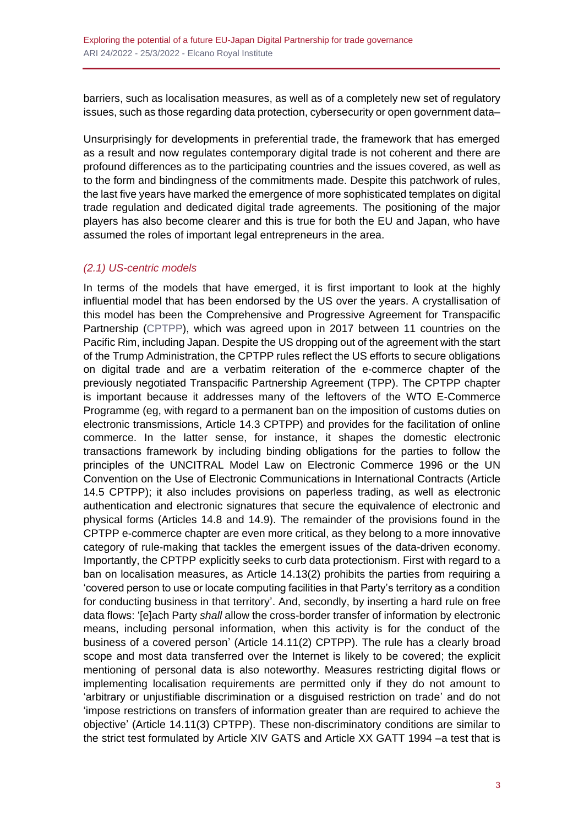barriers, such as localisation measures, as well as of a completely new set of regulatory issues, such as those regarding data protection, cybersecurity or open government data–

Unsurprisingly for developments in preferential trade, the framework that has emerged as a result and now regulates contemporary digital trade is not coherent and there are profound differences as to the participating countries and the issues covered, as well as to the form and bindingness of the commitments made. Despite this patchwork of rules, the last five years have marked the emergence of more sophisticated templates on digital trade regulation and dedicated digital trade agreements. The positioning of the major players has also become clearer and this is true for both the EU and Japan, who have assumed the roles of important legal entrepreneurs in the area.

## *(2.1) US-centric models*

In terms of the models that have emerged, it is first important to look at the highly influential model that has been endorsed by the US over the years. A crystallisation of this model has been the Comprehensive and Progressive Agreement for Transpacific Partnership [\(CPTPP\)](https://www.international.gc.ca/trade-commerce/trade-agreements-accords-commerciaux/agr-acc/cptpp-ptpgp/index.aspx?lang=eng), which was agreed upon in 2017 between 11 countries on the Pacific Rim, including Japan. Despite the US dropping out of the agreement with the start of the Trump Administration, the CPTPP rules reflect the US efforts to secure obligations on digital trade and are a verbatim reiteration of the e-commerce chapter of the previously negotiated Transpacific Partnership Agreement (TPP). The CPTPP chapter is important because it addresses many of the leftovers of the WTO E-Commerce Programme (eg, with regard to a permanent ban on the imposition of customs duties on electronic transmissions, Article 14.3 CPTPP) and provides for the facilitation of online commerce. In the latter sense, for instance, it shapes the domestic electronic transactions framework by including binding obligations for the parties to follow the principles of the UNCITRAL Model Law on Electronic Commerce 1996 or the UN Convention on the Use of Electronic Communications in International Contracts (Article 14.5 CPTPP); it also includes provisions on paperless trading, as well as electronic authentication and electronic signatures that secure the equivalence of electronic and physical forms (Articles 14.8 and 14.9). The remainder of the provisions found in the CPTPP e-commerce chapter are even more critical, as they belong to a more innovative category of rule-making that tackles the emergent issues of the data-driven economy. Importantly, the CPTPP explicitly seeks to curb data protectionism. First with regard to a ban on localisation measures, as Article 14.13(2) prohibits the parties from requiring a 'covered person to use or locate computing facilities in that Party's territory as a condition for conducting business in that territory'. And, secondly, by inserting a hard rule on free data flows: '[e]ach Party *shall* allow the cross-border transfer of information by electronic means, including personal information, when this activity is for the conduct of the business of a covered person' (Article 14.11(2) CPTPP). The rule has a clearly broad scope and most data transferred over the Internet is likely to be covered; the explicit mentioning of personal data is also noteworthy. Measures restricting digital flows or implementing localisation requirements are permitted only if they do not amount to 'arbitrary or unjustifiable discrimination or a disguised restriction on trade' and do not 'impose restrictions on transfers of information greater than are required to achieve the objective' (Article 14.11(3) CPTPP). These non-discriminatory conditions are similar to the strict test formulated by Article XIV GATS and Article XX GATT 1994 –a test that is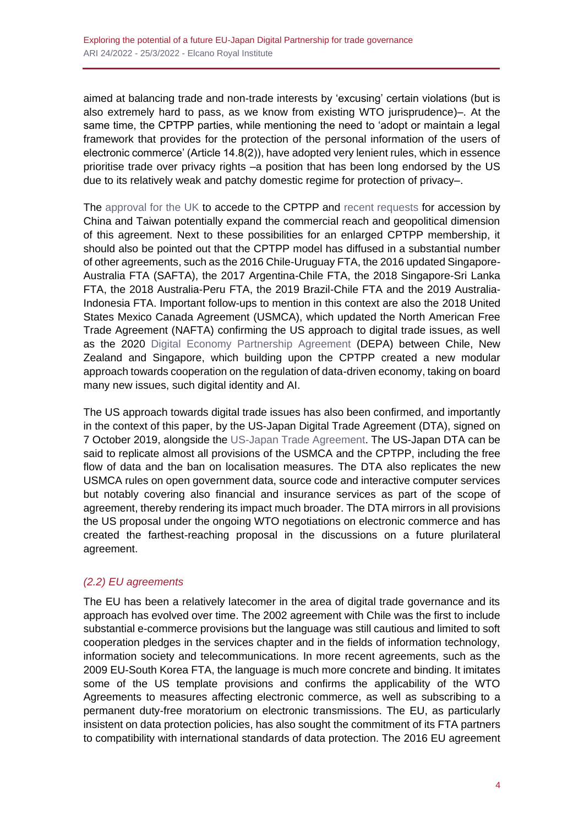aimed at balancing trade and non-trade interests by 'excusing' certain violations (but is also extremely hard to pass, as we know from existing WTO jurisprudence)–. At the same time, the CPTPP parties, while mentioning the need to 'adopt or maintain a legal framework that provides for the protection of the personal information of the users of electronic commerce' (Article 14.8(2)), have adopted very lenient rules, which in essence prioritise trade over privacy rights –a position that has been long endorsed by the US due to its relatively weak and patchy domestic regime for protection of privacy–.

The [approval for the UK](https://www.gov.uk/government/news/trade-secretary-secures-major-trade-bloc-milestone-ahead-of-asia-visit) to accede to the CPTPP and [recent requests](https://crsreports.congress.gov/product/pdf/IN/IN11760) for accession by China and Taiwan potentially expand the commercial reach and geopolitical dimension of this agreement. Next to these possibilities for an enlarged CPTPP membership, it should also be pointed out that the CPTPP model has diffused in a substantial number of other agreements, such as the 2016 Chile-Uruguay FTA, the 2016 updated Singapore-Australia FTA (SAFTA), the 2017 Argentina-Chile FTA, the 2018 Singapore-Sri Lanka FTA, the 2018 Australia-Peru FTA, the 2019 Brazil-Chile FTA and the 2019 Australia-Indonesia FTA. Important follow-ups to mention in this context are also the 2018 United States Mexico Canada Agreement (USMCA), which updated the North American Free Trade Agreement (NAFTA) confirming the US approach to digital trade issues, as well as the 2020 [Digital Economy Partnership Agreement](https://www.mfat.govt.nz/en/trade/free-trade-agreements/free-trade-agreements-in-force/digital-economy-partnership-agreement-depa/) (DEPA) between Chile, New Zealand and Singapore, which building upon the CPTPP created a new modular approach towards cooperation on the regulation of data-driven economy, taking on board many new issues, such digital identity and AI.

The US approach towards digital trade issues has also been confirmed, and importantly in the context of this paper, by the US-Japan Digital Trade Agreement (DTA), signed on 7 October 2019, alongside the [US-Japan Trade Agreement.](https://ustr.gov/countries-regions/japan-korea-apec/japan/us-japan-trade-agreement-negotiations/us-japan-digital-trade-agreement-text) The US-Japan DTA can be said to replicate almost all provisions of the USMCA and the CPTPP, including the free flow of data and the ban on localisation measures. The DTA also replicates the new USMCA rules on open government data, source code and interactive computer services but notably covering also financial and insurance services as part of the scope of agreement, thereby rendering its impact much broader. The DTA mirrors in all provisions the US proposal under the ongoing WTO negotiations on electronic commerce and has created the farthest-reaching proposal in the discussions on a future plurilateral agreement.

# *(2.2) EU agreements*

The EU has been a relatively latecomer in the area of digital trade governance and its approach has evolved over time. The 2002 agreement with Chile was the first to include substantial e-commerce provisions but the language was still cautious and limited to soft cooperation pledges in the services chapter and in the fields of information technology, information society and telecommunications. In more recent agreements, such as the 2009 EU-South Korea FTA, the language is much more concrete and binding. It imitates some of the US template provisions and confirms the applicability of the WTO Agreements to measures affecting electronic commerce, as well as subscribing to a permanent duty-free moratorium on electronic transmissions. The EU, as particularly insistent on data protection policies, has also sought the commitment of its FTA partners to compatibility with international standards of data protection. The 2016 EU agreement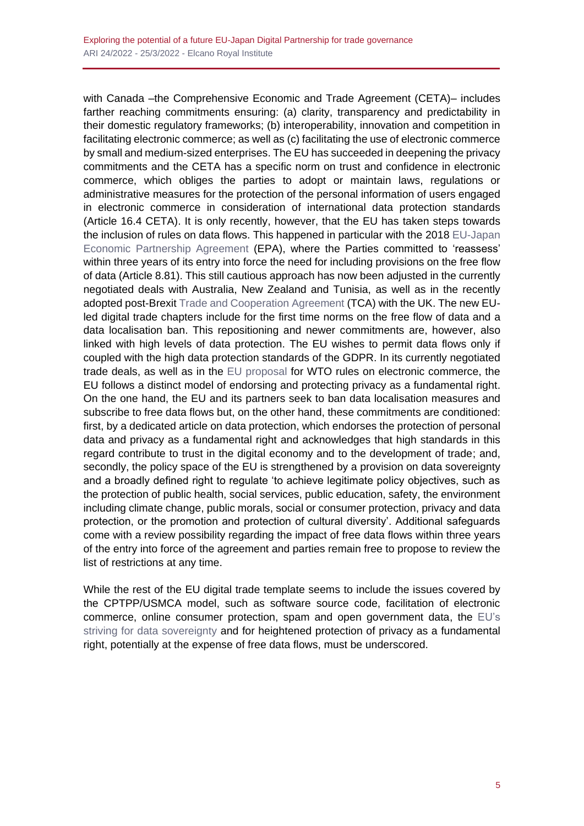with Canada –the Comprehensive Economic and Trade Agreement (CETA)– includes farther reaching commitments ensuring: (a) clarity, transparency and predictability in their domestic regulatory frameworks; (b) interoperability, innovation and competition in facilitating electronic commerce; as well as (c) facilitating the use of electronic commerce by small and medium-sized enterprises. The EU has succeeded in deepening the privacy commitments and the CETA has a specific norm on trust and confidence in electronic commerce, which obliges the parties to adopt or maintain laws, regulations or administrative measures for the protection of the personal information of users engaged in electronic commerce in consideration of international data protection standards (Article 16.4 CETA). It is only recently, however, that the EU has taken steps towards the inclusion of rules on data flows. This happened in particular with the 2018 [EU-Japan](https://trade.ec.europa.eu/doclib/press/index.cfm?id=1684)  [Economic Partnership Agreement](https://trade.ec.europa.eu/doclib/press/index.cfm?id=1684) (EPA), where the Parties committed to 'reassess' within three years of its entry into force the need for including provisions on the free flow of data (Article 8.81). This still cautious approach has now been adjusted in the currently negotiated deals with Australia, New Zealand and Tunisia, as well as in the recently adopted post-Brexi[t Trade and Cooperation Agreement](https://ec.europa.eu/info/strategy/relations-non-eu-countries/relations-united-kingdom/eu-uk-trade-and-cooperation-agreement_en) (TCA) with the UK. The new EUled digital trade chapters include for the first time norms on the free flow of data and a data localisation ban. This repositioning and newer commitments are, however, also linked with high levels of data protection. The EU wishes to permit data flows only if coupled with the high data protection standards of the GDPR. In its currently negotiated trade deals, as well as in the [EU proposal](https://docs.wto.org/dol2fe/Pages/SS/directdoc.aspx?filename=q:/INF/ECOM/22.pdf&Open=True) for WTO rules on electronic commerce, the EU follows a distinct model of endorsing and protecting privacy as a fundamental right. On the one hand, the EU and its partners seek to ban data localisation measures and subscribe to free data flows but, on the other hand, these commitments are conditioned: first, by a dedicated article on data protection, which endorses the protection of personal data and privacy as a fundamental right and acknowledges that high standards in this regard contribute to trust in the digital economy and to the development of trade; and, secondly, the policy space of the EU is strengthened by a provision on data sovereignty and a broadly defined right to regulate 'to achieve legitimate policy objectives, such as the protection of public health, social services, public education, safety, the environment including climate change, public morals, social or consumer protection, privacy and data protection, or the promotion and protection of cultural diversity'. Additional safeguards come with a review possibility regarding the impact of free data flows within three years of the entry into force of the agreement and parties remain free to propose to review the list of restrictions at any time.

While the rest of the EU digital trade template seems to include the issues covered by the CPTPP/USMCA model, such as software source code, facilitation of electronic commerce, online consumer protection, spam and open government data, the [EU's](https://www.realinstitutoelcano.org/en/activities/debate-european-digital-sovereignty-regulation-or-investment/) [striving for data sovereignty](https://www.realinstitutoelcano.org/en/activities/debate-european-digital-sovereignty-regulation-or-investment/) and for heightened protection of privacy as a fundamental right, potentially at the expense of free data flows, must be underscored.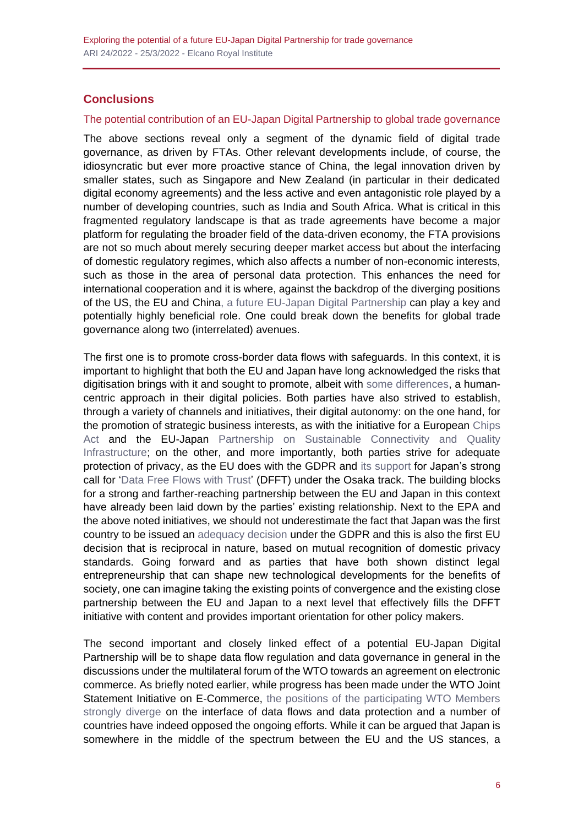# **Conclusions**

#### The potential contribution of an EU-Japan Digital Partnership to global trade governance

The above sections reveal only a segment of the dynamic field of digital trade governance, as driven by FTAs. Other relevant developments include, of course, the idiosyncratic but ever more proactive stance of China, the legal innovation driven by smaller states, such as Singapore and New Zealand (in particular in their dedicated digital economy agreements) and the less active and even antagonistic role played by a number of developing countries, such as India and South Africa. What is critical in this fragmented regulatory landscape is that as trade agreements have become a major platform for regulating the broader field of the data-driven economy, the FTA provisions are not so much about merely securing deeper market access but about the interfacing of domestic regulatory regimes, which also affects a number of non-economic interests, such as those in the area of personal data protection. This enhances the need for international cooperation and it is where, against the backdrop of the diverging positions of the US, the EU and Chin[a, a future EU-Japan Digital Partnership](https://www.realinstitutoelcano.org/en/videos/envisioning-a-future-eu-japan-digital-partnership-a-stepping-stone-towards-greater-influence-in-the-digital-transition/) can play a key and potentially highly beneficial role. One could break down the benefits for global trade governance along two (interrelated) avenues.

The first one is to promote cross-border data flows with safeguards. In this context, it is important to highlight that both the EU and Japan have long acknowledged the risks that digitisation brings with it and sought to promote, albeit with [some differences,](https://www.realinstitutoelcano.org/en/analyses/the-case-for-eu-japan-digital-connectivity-and-digital-oda/) a humancentric approach in their digital policies. Both parties have also strived to establish, through a variety of channels and initiatives, their digital autonomy: on the one hand, for the promotion of strategic business interests, as with the initiative for a European [Chips](https://digital-strategy.ec.europa.eu/en/library/european-chips-act-communication-regulation-joint-undertaking-and-recommendation)  [Act](https://digital-strategy.ec.europa.eu/en/library/european-chips-act-communication-regulation-joint-undertaking-and-recommendation) and the EU-Japan Partnership on Sustainable Connectivity and Quality [Infrastructure;](https://eeas.europa.eu/headquarters/headquarters-homepage_en/68018/The%20Partnership%20on%20Sustainable%20Connectivity%20and%20Quality%20Infrastructure%20between%20the%20European%20Union%20and%20Japan) on the other, and more importantly, both parties strive for adequate protection of privacy, as the EU does with the GDPR and its [support](https://data.europa.eu/en/news/g7-leaders-endorsed-digital-ministers-roadmap-cooperation-data-free-flow-trust) for Japan's strong call for ['Data Free Flows with Trust'](https://www.mofa.go.jp/ecm/ec/page4e_000973.html) (DFFT) under the Osaka track. The building blocks for a strong and farther-reaching partnership between the EU and Japan in this context have already been laid down by the parties' existing relationship. Next to the EPA and the above noted initiatives, we should not underestimate the fact that Japan was the first country to be issued an [adequacy decision](https://eur-lex.europa.eu/legal-content/EN/TXT/?uri=uriserv:OJ.L_.2019.076.01.0001.01.ENG&toc=OJ:L:2019:076:TOC) under the GDPR and this is also the first EU decision that is reciprocal in nature, based on mutual recognition of domestic privacy standards. Going forward and as parties that have both shown distinct legal entrepreneurship that can shape new technological developments for the benefits of society, one can imagine taking the existing points of convergence and the existing close partnership between the EU and Japan to a next level that effectively fills the DFFT initiative with content and provides important orientation for other policy makers.

The second important and closely linked effect of a potential EU-Japan Digital Partnership will be to shape data flow regulation and data governance in general in the discussions under the multilateral forum of the WTO towards an agreement on electronic commerce. As briefly noted earlier, while progress has been made under the WTO Joint Statement Initiative on E-Commerce, [the positions of the participating WTO Members](https://papers.ssrn.com/sol3/papers.cfm?abstract_id=3976133)  [strongly diverge](https://papers.ssrn.com/sol3/papers.cfm?abstract_id=3976133) on the interface of data flows and data protection and a number of countries have indeed opposed the ongoing efforts. While it can be argued that Japan is somewhere in the middle of the spectrum between the EU and the US stances, a